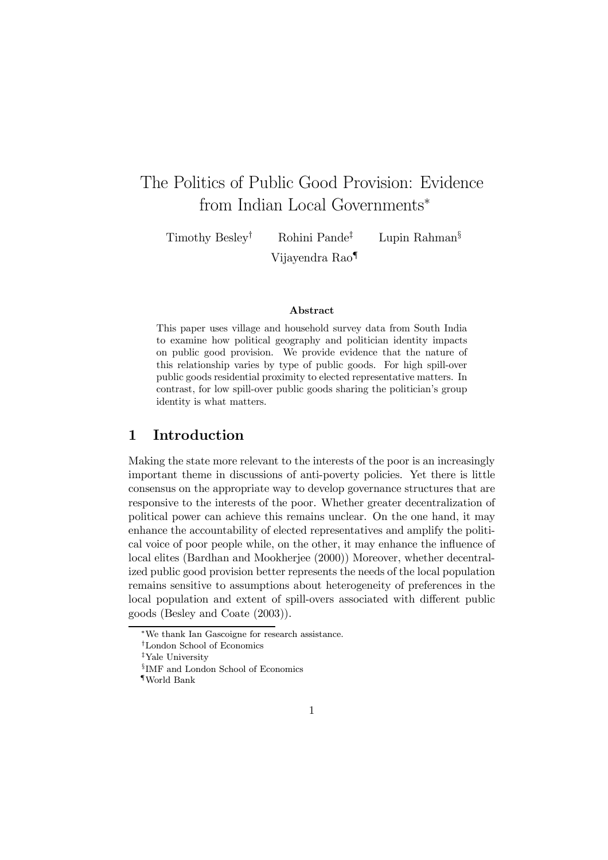# The Politics of Public Good Provision: Evidence from Indian Local Governments<sup>\*</sup>

Timothy Besley† Rohini Pande‡ Lupin Rahman§ Vijayendra Rao¶

## Abstract

This paper uses village and household survey data from South India to examine how political geography and politician identity impacts on public good provision. We provide evidence that the nature of this relationship varies by type of public goods. For high spill-over public goods residential proximity to elected representative matters. In contrast, for low spill-over public goods sharing the politician's group identity is what matters.

## 1 Introduction

Making the state more relevant to the interests of the poor is an increasingly important theme in discussions of anti-poverty policies. Yet there is little consensus on the appropriate way to develop governance structures that are responsive to the interests of the poor. Whether greater decentralization of political power can achieve this remains unclear. On the one hand, it may enhance the accountability of elected representatives and amplify the political voice of poor people while, on the other, it may enhance the influence of local elites (Bardhan and Mookherjee (2000)) Moreover, whether decentralized public good provision better represents the needs of the local population remains sensitive to assumptions about heterogeneity of preferences in the local population and extent of spill-overs associated with different public goods (Besley and Coate (2003)).

<sup>∗</sup>We thank Ian Gascoigne for research assistance.

<sup>†</sup>London School of Economics

<sup>‡</sup>Yale University

<sup>§</sup>IMF and London School of Economics

<sup>¶</sup>World Bank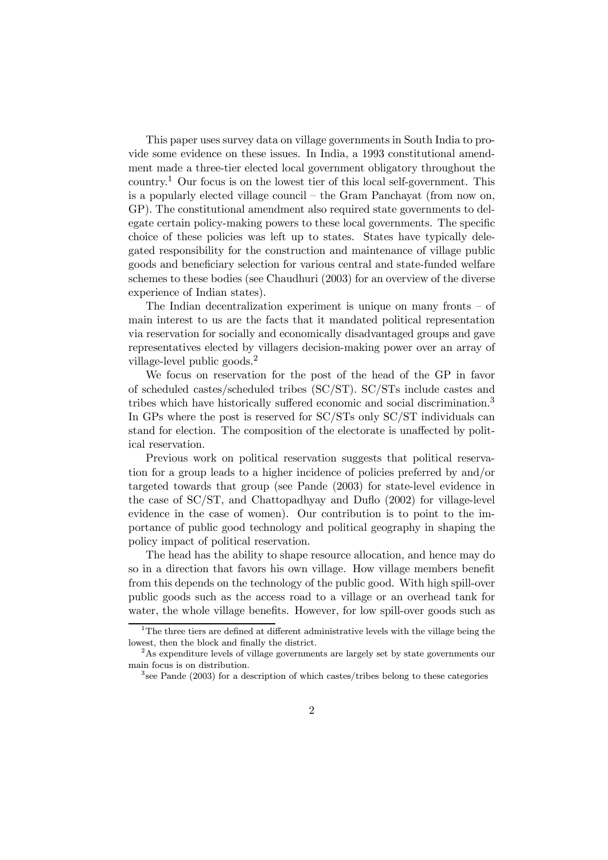This paper uses survey data on village governments in South India to provide some evidence on these issues. In India, a 1993 constitutional amendment made a three-tier elected local government obligatory throughout the country.<sup>1</sup> Our focus is on the lowest tier of this local self-government. This is a popularly elected village council — the Gram Panchayat (from now on, GP). The constitutional amendment also required state governments to delegate certain policy-making powers to these local governments. The specific choice of these policies was left up to states. States have typically delegated responsibility for the construction and maintenance of village public goods and beneficiary selection for various central and state-funded welfare schemes to these bodies (see Chaudhuri (2003) for an overview of the diverse experience of Indian states).

The Indian decentralization experiment is unique on many fronts  $-$  of main interest to us are the facts that it mandated political representation via reservation for socially and economically disadvantaged groups and gave representatives elected by villagers decision-making power over an array of village-level public goods.<sup>2</sup>

We focus on reservation for the post of the head of the GP in favor of scheduled castes/scheduled tribes (SC/ST). SC/STs include castes and tribes which have historically suffered economic and social discrimination.<sup>3</sup> In GPs where the post is reserved for SC/STs only SC/ST individuals can stand for election. The composition of the electorate is unaffected by political reservation.

Previous work on political reservation suggests that political reservation for a group leads to a higher incidence of policies preferred by and/or targeted towards that group (see Pande (2003) for state-level evidence in the case of SC/ST, and Chattopadhyay and Duflo (2002) for village-level evidence in the case of women). Our contribution is to point to the importance of public good technology and political geography in shaping the policy impact of political reservation.

The head has the ability to shape resource allocation, and hence may do so in a direction that favors his own village. How village members benefit from this depends on the technology of the public good. With high spill-over public goods such as the access road to a village or an overhead tank for water, the whole village benefits. However, for low spill-over goods such as

 $1$ <sup>1</sup>The three tiers are defined at different administrative levels with the village being the lowest, then the block and finally the district.

<sup>2</sup>As expenditure levels of village governments are largely set by state governments our main focus is on distribution.

<sup>3</sup>see Pande (2003) for a description of which castes/tribes belong to these categories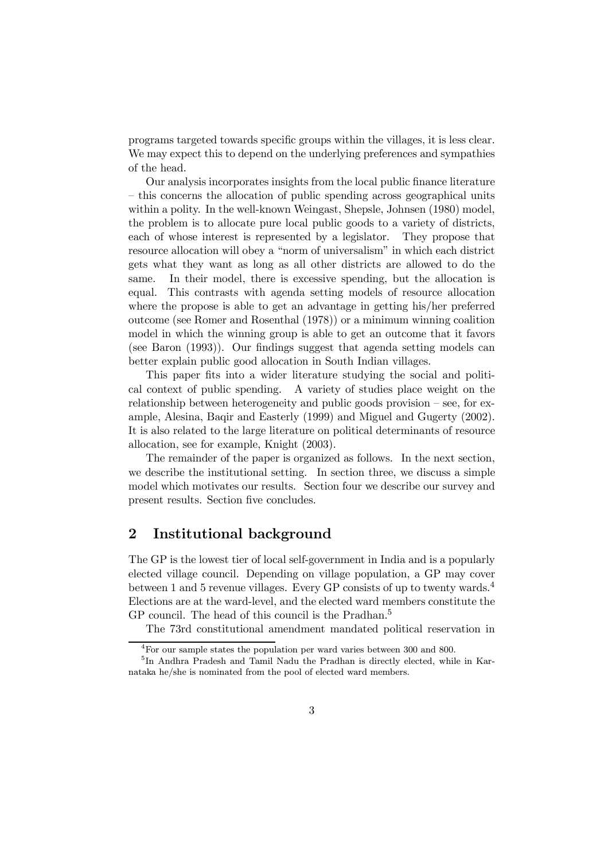programs targeted towards specific groups within the villages, it is less clear. We may expect this to depend on the underlying preferences and sympathies of the head.

Our analysis incorporates insights from the local public finance literature — this concerns the allocation of public spending across geographical units within a polity. In the well-known Weingast, Shepsle, Johnsen (1980) model, the problem is to allocate pure local public goods to a variety of districts, each of whose interest is represented by a legislator. They propose that resource allocation will obey a "norm of universalism" in which each district gets what they want as long as all other districts are allowed to do the same. In their model, there is excessive spending, but the allocation is equal. This contrasts with agenda setting models of resource allocation where the propose is able to get an advantage in getting his/her preferred outcome (see Romer and Rosenthal (1978)) or a minimum winning coalition model in which the winning group is able to get an outcome that it favors (see Baron (1993)). Our findings suggest that agenda setting models can better explain public good allocation in South Indian villages.

This paper fits into a wider literature studying the social and political context of public spending. A variety of studies place weight on the relationship between heterogeneity and public goods provision — see, for example, Alesina, Baqir and Easterly (1999) and Miguel and Gugerty (2002). It is also related to the large literature on political determinants of resource allocation, see for example, Knight (2003).

The remainder of the paper is organized as follows. In the next section, we describe the institutional setting. In section three, we discuss a simple model which motivates our results. Section four we describe our survey and present results. Section five concludes.

## 2 Institutional background

The GP is the lowest tier of local self-government in India and is a popularly elected village council. Depending on village population, a GP may cover between 1 and 5 revenue villages. Every GP consists of up to twenty wards.<sup>4</sup> Elections are at the ward-level, and the elected ward members constitute the GP council. The head of this council is the Pradhan.<sup>5</sup>

The 73rd constitutional amendment mandated political reservation in

 ${}^{4}$ For our sample states the population per ward varies between 300 and 800.

<sup>&</sup>lt;sup>5</sup>In Andhra Pradesh and Tamil Nadu the Pradhan is directly elected, while in Karnataka he/she is nominated from the pool of elected ward members.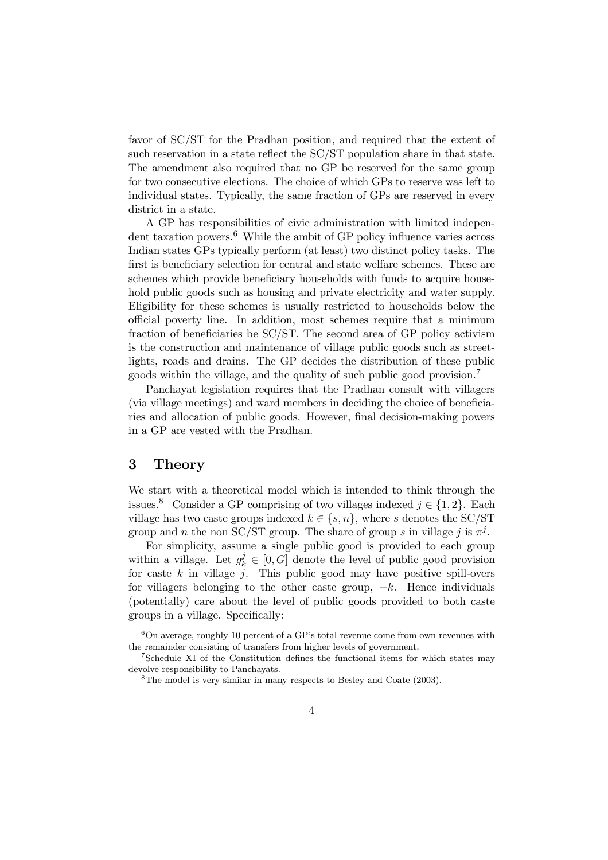favor of SC/ST for the Pradhan position, and required that the extent of such reservation in a state reflect the SC/ST population share in that state. The amendment also required that no GP be reserved for the same group for two consecutive elections. The choice of which GPs to reserve was left to individual states. Typically, the same fraction of GPs are reserved in every district in a state.

A GP has responsibilities of civic administration with limited independent taxation powers.<sup>6</sup> While the ambit of GP policy influence varies across Indian states GPs typically perform (at least) two distinct policy tasks. The first is beneficiary selection for central and state welfare schemes. These are schemes which provide beneficiary households with funds to acquire household public goods such as housing and private electricity and water supply. Eligibility for these schemes is usually restricted to households below the official poverty line. In addition, most schemes require that a minimum fraction of beneficiaries be SC/ST. The second area of GP policy activism is the construction and maintenance of village public goods such as streetlights, roads and drains. The GP decides the distribution of these public goods within the village, and the quality of such public good provision.<sup>7</sup>

Panchayat legislation requires that the Pradhan consult with villagers (via village meetings) and ward members in deciding the choice of beneficiaries and allocation of public goods. However, final decision-making powers in a GP are vested with the Pradhan.

# 3 Theory

We start with a theoretical model which is intended to think through the issues.<sup>8</sup> Consider a GP comprising of two villages indexed  $j \in \{1, 2\}$ . Each village has two caste groups indexed  $k \in \{s, n\}$ , where s denotes the SC/ST group and n the non SC/ST group. The share of group s in village j is  $\pi^{j}$ .

For simplicity, assume a single public good is provided to each group within a village. Let  $g_k^j \in [0, G]$  denote the level of public good provision for caste  $k$  in village  $j$ . This public good may have positive spill-overs for villagers belonging to the other caste group,  $-k$ . Hence individuals (potentially) care about the level of public goods provided to both caste groups in a village. Specifically:

 $6$ On average, roughly 10 percent of a GP's total revenue come from own revenues with the remainder consisting of transfers from higher levels of government.

 $7$ Schedule XI of the Constitution defines the functional items for which states may devolve responsibility to Panchayats.

 ${}^{8}$ The model is very similar in many respects to Besley and Coate (2003).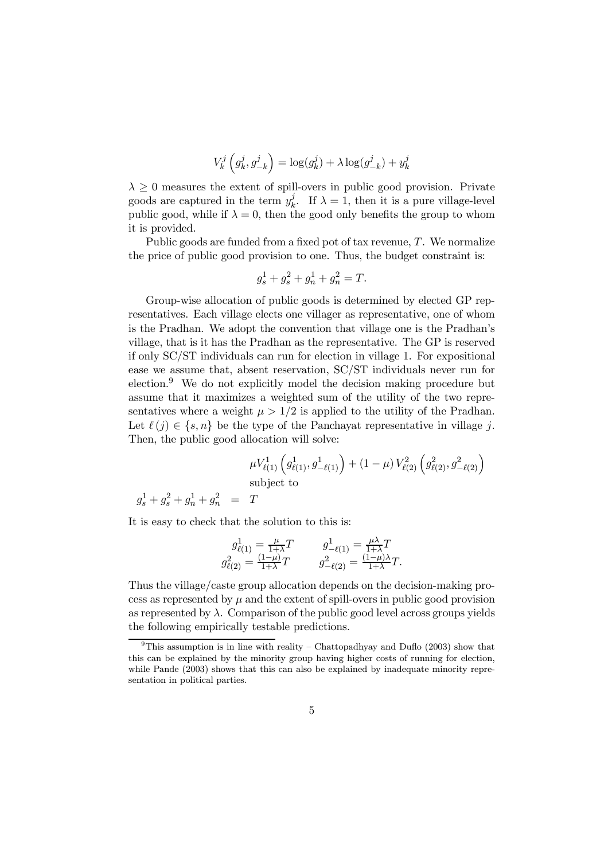$$
V_k^j\left(g_k^j,g_{-k}^j\right) = \log(g_k^j) + \lambda \log(g_{-k}^j) + y_k^j
$$

 $\lambda \geq 0$  measures the extent of spill-overs in public good provision. Private goods are captured in the term  $y_k^j$ . If  $\lambda = 1$ , then it is a pure village-level public good, while if  $\lambda = 0$ , then the good only benefits the group to whom it is provided.

Public goods are funded from a fixed pot of tax revenue,  $T$ . We normalize the price of public good provision to one. Thus, the budget constraint is:

$$
g_s^1 + g_s^2 + g_n^1 + g_n^2 = T.
$$

Group-wise allocation of public goods is determined by elected GP representatives. Each village elects one villager as representative, one of whom is the Pradhan. We adopt the convention that village one is the Pradhan's village, that is it has the Pradhan as the representative. The GP is reserved if only SC/ST individuals can run for election in village 1. For expositional ease we assume that, absent reservation, SC/ST individuals never run for election.<sup>9</sup> We do not explicitly model the decision making procedure but assume that it maximizes a weighted sum of the utility of the two representatives where a weight  $\mu > 1/2$  is applied to the utility of the Pradhan. Let  $\ell(j) \in \{s, n\}$  be the type of the Panchayat representative in village j. Then, the public good allocation will solve:

$$
\mu V_{\ell(1)}^1 \left( g_{\ell(1)}^1, g_{-\ell(1)}^1 \right) + (1 - \mu) V_{\ell(2)}^2 \left( g_{\ell(2)}^2, g_{-\ell(2)}^2 \right)
$$
  
subject to  

$$
g_s^1 + g_s^2 + g_n^1 + g_n^2 = T
$$

It is easy to check that the solution to this is:

$$
g_{\ell(1)}^1 = \frac{\mu}{1+\lambda}T \qquad \qquad g_{-\ell(1)}^1 = \frac{\mu\lambda}{1+\lambda}T g_{\ell(2)}^2 = \frac{(1-\mu)}{1+\lambda}T \qquad \qquad g_{-\ell(2)}^2 = \frac{(1-\mu)\lambda}{1+\lambda}T.
$$

Thus the village/caste group allocation depends on the decision-making process as represented by  $\mu$  and the extent of spill-overs in public good provision as represented by  $\lambda$ . Comparison of the public good level across groups yields the following empirically testable predictions.

<sup>&</sup>lt;sup>9</sup>This assumption is in line with reality – Chattopadhyay and Duflo  $(2003)$  show that this can be explained by the minority group having higher costs of running for election, while Pande (2003) shows that this can also be explained by inadequate minority representation in political parties.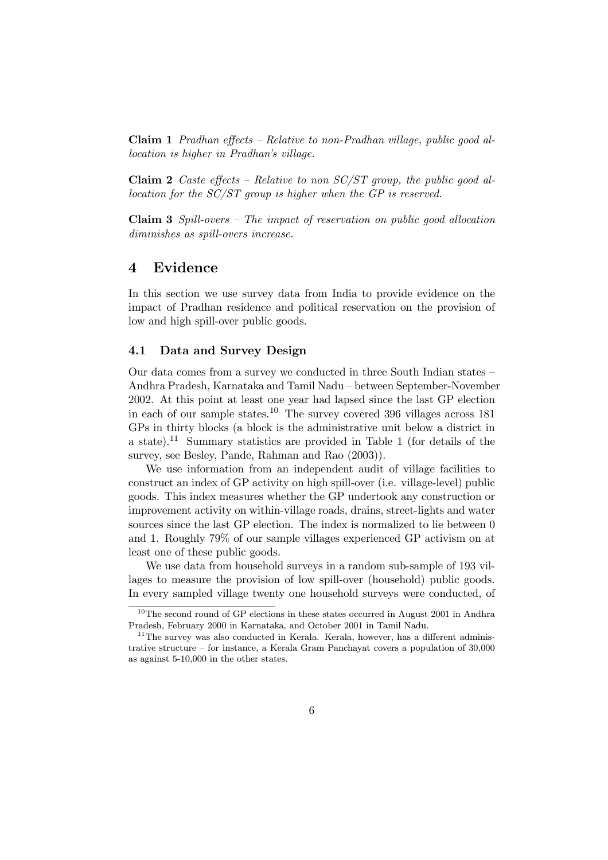Claim 1 Pradhan effects — Relative to non-Pradhan village, public good allocation is higher in Pradhan's village.

**Claim 2** Caste effects – Relative to non  $SC/ST$  group, the public good allocation for the SC/ST group is higher when the GP is reserved.

Claim 3 Spill-overs — The impact of reservation on public good allocation diminishes as spill-overs increase.

## 4 Evidence

In this section we use survey data from India to provide evidence on the impact of Pradhan residence and political reservation on the provision of low and high spill-over public goods.

## 4.1 Data and Survey Design

Our data comes from a survey we conducted in three South Indian states — Andhra Pradesh, Karnataka and Tamil Nadu — between September-November 2002. At this point at least one year had lapsed since the last GP election in each of our sample states.<sup>10</sup> The survey covered 396 villages across 181 GPs in thirty blocks (a block is the administrative unit below a district in a state).<sup>11</sup> Summary statistics are provided in Table 1 (for details of the survey, see Besley, Pande, Rahman and Rao (2003)).

We use information from an independent audit of village facilities to construct an index of GP activity on high spill-over (i.e. village-level) public goods. This index measures whether the GP undertook any construction or improvement activity on within-village roads, drains, street-lights and water sources since the last GP election. The index is normalized to lie between 0 and 1. Roughly 79% of our sample villages experienced GP activism on at least one of these public goods.

We use data from household surveys in a random sub-sample of 193 villages to measure the provision of low spill-over (household) public goods. In every sampled village twenty one household surveys were conducted, of

<sup>&</sup>lt;sup>10</sup>The second round of GP elections in these states occurred in August 2001 in Andhra Pradesh, February 2000 in Karnataka, and October 2001 in Tamil Nadu.

<sup>&</sup>lt;sup>11</sup>The survey was also conducted in Kerala. Kerala, however, has a different administrative structure — for instance, a Kerala Gram Panchayat covers a population of 30,000 as against 5-10,000 in the other states.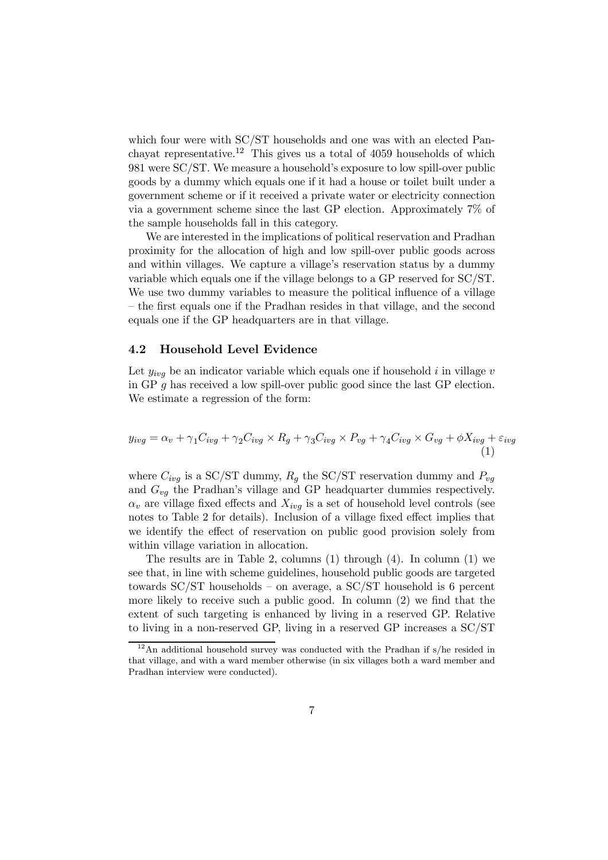which four were with SC/ST households and one was with an elected Panchayat representative.<sup>12</sup> This gives us a total of 4059 households of which 981 were SC/ST. We measure a household's exposure to low spill-over public goods by a dummy which equals one if it had a house or toilet built under a government scheme or if it received a private water or electricity connection via a government scheme since the last GP election. Approximately 7% of the sample households fall in this category.

We are interested in the implications of political reservation and Pradhan proximity for the allocation of high and low spill-over public goods across and within villages. We capture a village's reservation status by a dummy variable which equals one if the village belongs to a GP reserved for SC/ST. We use two dummy variables to measure the political influence of a village — the first equals one if the Pradhan resides in that village, and the second equals one if the GP headquarters are in that village.

## 4.2 Household Level Evidence

Let  $y_{ivq}$  be an indicator variable which equals one if household i in village v in GP g has received a low spill-over public good since the last GP election. We estimate a regression of the form:

$$
y_{ivg} = \alpha_v + \gamma_1 C_{ivg} + \gamma_2 C_{ivg} \times R_g + \gamma_3 C_{ivg} \times P_{vg} + \gamma_4 C_{ivg} \times G_{vg} + \phi X_{ivg} + \varepsilon_{ivg}
$$
\n(1)

where  $C_{i\nu q}$  is a SC/ST dummy,  $R_q$  the SC/ST reservation dummy and  $P_{\nu q}$ and  $G_{vq}$  the Pradhan's village and GP headquarter dummies respectively.  $\alpha_v$  are village fixed effects and  $X_{ivq}$  is a set of household level controls (see notes to Table 2 for details). Inclusion of a village fixed effect implies that we identify the effect of reservation on public good provision solely from within village variation in allocation.

The results are in Table 2, columns (1) through (4). In column (1) we see that, in line with scheme guidelines, household public goods are targeted towards SC/ST households — on average, a SC/ST household is 6 percent more likely to receive such a public good. In column (2) we find that the extent of such targeting is enhanced by living in a reserved GP. Relative to living in a non-reserved GP, living in a reserved GP increases a SC/ST

 $12$ An additional household survey was conducted with the Pradhan if s/he resided in that village, and with a ward member otherwise (in six villages both a ward member and Pradhan interview were conducted).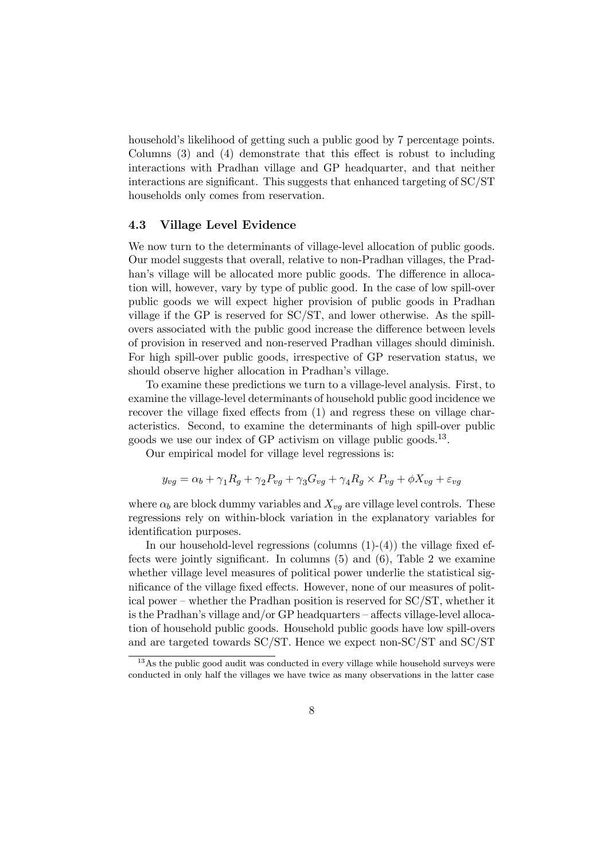household's likelihood of getting such a public good by 7 percentage points. Columns (3) and (4) demonstrate that this effect is robust to including interactions with Pradhan village and GP headquarter, and that neither interactions are significant. This suggests that enhanced targeting of SC/ST households only comes from reservation.

## 4.3 Village Level Evidence

We now turn to the determinants of village-level allocation of public goods. Our model suggests that overall, relative to non-Pradhan villages, the Pradhan's village will be allocated more public goods. The difference in allocation will, however, vary by type of public good. In the case of low spill-over public goods we will expect higher provision of public goods in Pradhan village if the GP is reserved for SC/ST, and lower otherwise. As the spillovers associated with the public good increase the difference between levels of provision in reserved and non-reserved Pradhan villages should diminish. For high spill-over public goods, irrespective of GP reservation status, we should observe higher allocation in Pradhan's village.

To examine these predictions we turn to a village-level analysis. First, to examine the village-level determinants of household public good incidence we recover the village fixed effects from (1) and regress these on village characteristics. Second, to examine the determinants of high spill-over public goods we use our index of GP activism on village public goods.13.

Our empirical model for village level regressions is:

$$
y_{vg} = \alpha_b + \gamma_1 R_g + \gamma_2 P_{vg} + \gamma_3 G_{vg} + \gamma_4 R_g \times P_{vg} + \phi X_{vg} + \varepsilon_{vg}
$$

where  $\alpha_b$  are block dummy variables and  $X_{vg}$  are village level controls. These regressions rely on within-block variation in the explanatory variables for identification purposes.

In our household-level regressions (columns  $(1)-(4)$ ) the village fixed effects were jointly significant. In columns (5) and (6), Table 2 we examine whether village level measures of political power underlie the statistical significance of the village fixed effects. However, none of our measures of political power — whether the Pradhan position is reserved for SC/ST, whether it is the Pradhan's village and/or GP headquarters — affects village-level allocation of household public goods. Household public goods have low spill-overs and are targeted towards SC/ST. Hence we expect non-SC/ST and SC/ST

<sup>&</sup>lt;sup>13</sup>As the public good audit was conducted in every village while household surveys were conducted in only half the villages we have twice as many observations in the latter case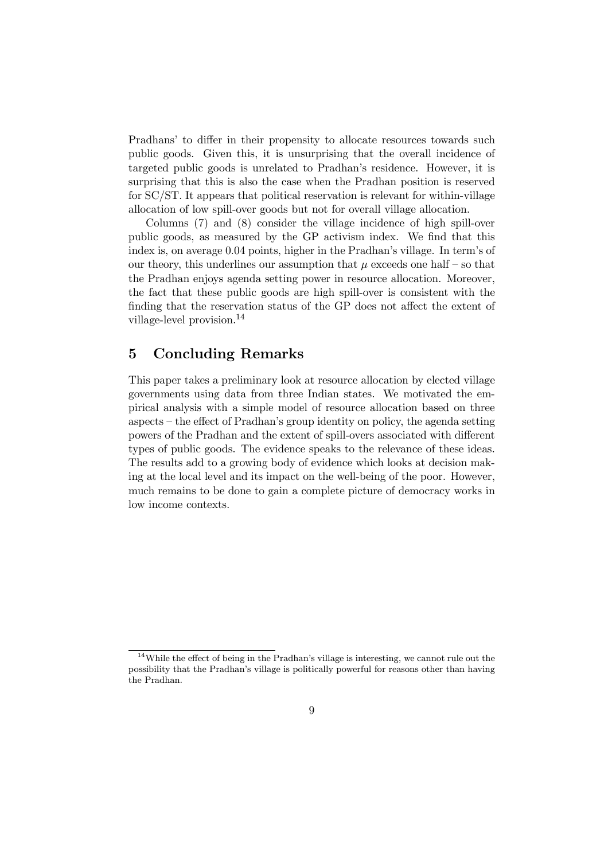Pradhans' to differ in their propensity to allocate resources towards such public goods. Given this, it is unsurprising that the overall incidence of targeted public goods is unrelated to Pradhan's residence. However, it is surprising that this is also the case when the Pradhan position is reserved for SC/ST. It appears that political reservation is relevant for within-village allocation of low spill-over goods but not for overall village allocation.

Columns (7) and (8) consider the village incidence of high spill-over public goods, as measured by the GP activism index. We find that this index is, on average 0.04 points, higher in the Pradhan's village. In term's of our theory, this underlines our assumption that  $\mu$  exceeds one half – so that the Pradhan enjoys agenda setting power in resource allocation. Moreover, the fact that these public goods are high spill-over is consistent with the finding that the reservation status of the GP does not affect the extent of village-level provision.<sup>14</sup>

# 5 Concluding Remarks

This paper takes a preliminary look at resource allocation by elected village governments using data from three Indian states. We motivated the empirical analysis with a simple model of resource allocation based on three aspects — the effect of Pradhan's group identity on policy, the agenda setting powers of the Pradhan and the extent of spill-overs associated with different types of public goods. The evidence speaks to the relevance of these ideas. The results add to a growing body of evidence which looks at decision making at the local level and its impact on the well-being of the poor. However, much remains to be done to gain a complete picture of democracy works in low income contexts.

<sup>&</sup>lt;sup>14</sup>While the effect of being in the Pradhan's village is interesting, we cannot rule out the possibility that the Pradhan's village is politically powerful for reasons other than having the Pradhan.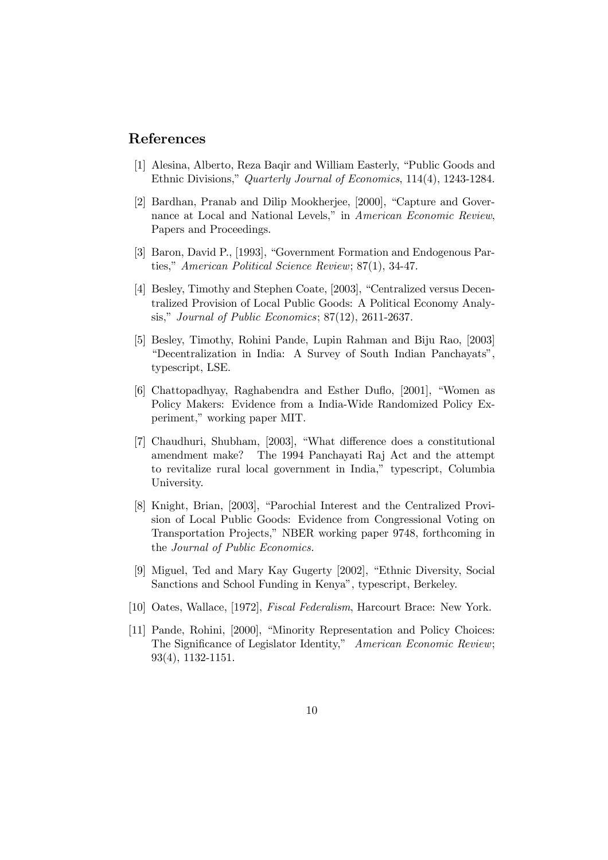# References

- [1] Alesina, Alberto, Reza Baqir and William Easterly, "Public Goods and Ethnic Divisions," Quarterly Journal of Economics, 114(4), 1243-1284.
- [2] Bardhan, Pranab and Dilip Mookherjee, [2000], "Capture and Governance at Local and National Levels," in American Economic Review, Papers and Proceedings.
- [3] Baron, David P., [1993], "Government Formation and Endogenous Parties," American Political Science Review; 87(1), 34-47.
- [4] Besley, Timothy and Stephen Coate, [2003], "Centralized versus Decentralized Provision of Local Public Goods: A Political Economy Analysis," Journal of Public Economics; 87(12), 2611-2637.
- [5] Besley, Timothy, Rohini Pande, Lupin Rahman and Biju Rao, [2003] "Decentralization in India: A Survey of South Indian Panchayats", typescript, LSE.
- [6] Chattopadhyay, Raghabendra and Esther Duflo, [2001], "Women as Policy Makers: Evidence from a India-Wide Randomized Policy Experiment," working paper MIT.
- [7] Chaudhuri, Shubham, [2003], "What difference does a constitutional amendment make? The 1994 Panchayati Raj Act and the attempt to revitalize rural local government in India," typescript, Columbia University.
- [8] Knight, Brian, [2003], "Parochial Interest and the Centralized Provision of Local Public Goods: Evidence from Congressional Voting on Transportation Projects," NBER working paper 9748, forthcoming in the Journal of Public Economics.
- [9] Miguel, Ted and Mary Kay Gugerty [2002], "Ethnic Diversity, Social Sanctions and School Funding in Kenya", typescript, Berkeley.
- [10] Oates, Wallace, [1972], Fiscal Federalism, Harcourt Brace: New York.
- [11] Pande, Rohini, [2000], "Minority Representation and Policy Choices: The Significance of Legislator Identity," American Economic Review; 93(4), 1132-1151.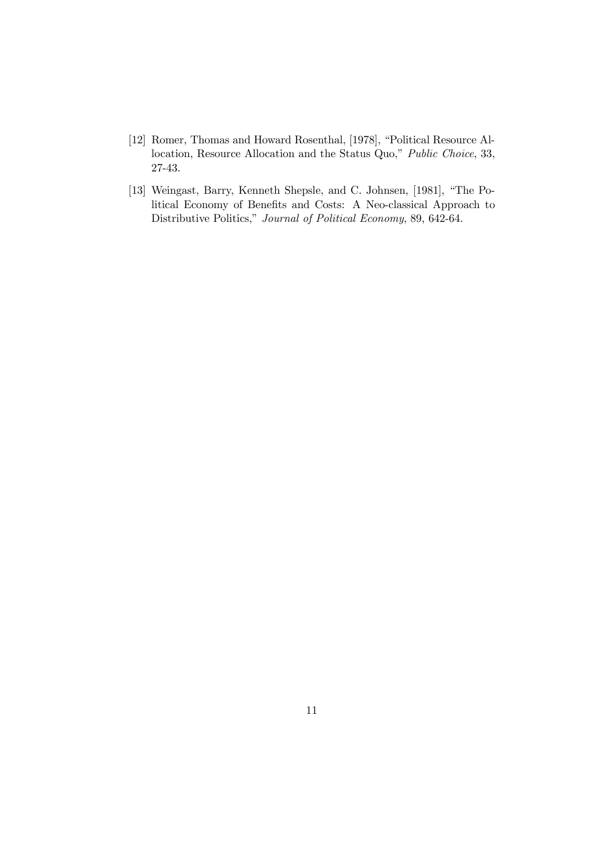- [12] Romer, Thomas and Howard Rosenthal, [1978], "Political Resource Allocation, Resource Allocation and the Status Quo," Public Choice, 33, 27-43.
- [13] Weingast, Barry, Kenneth Shepsle, and C. Johnsen, [1981], "The Political Economy of Benefits and Costs: A Neo-classical Approach to Distributive Politics," Journal of Political Economy, 89, 642-64.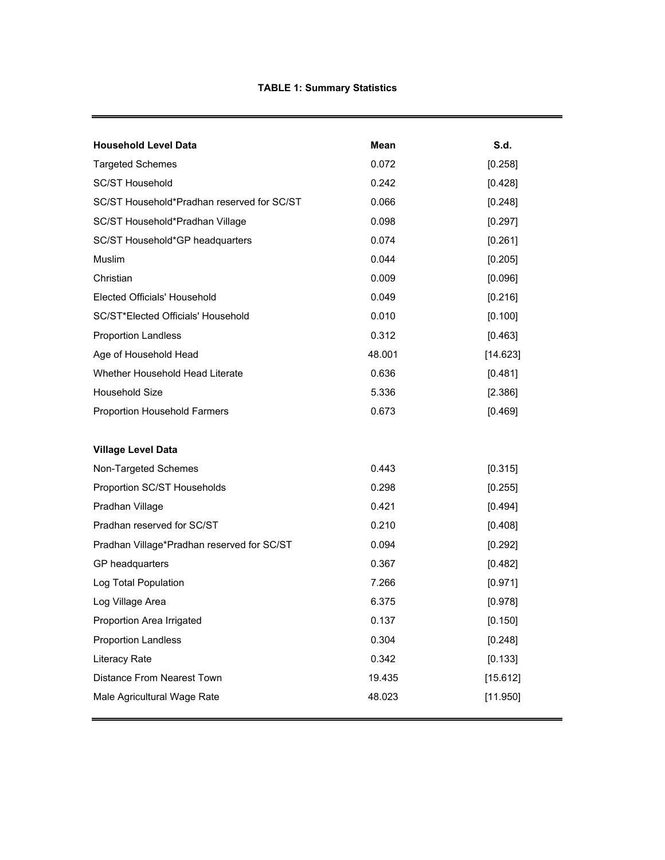| <b>Household Level Data</b>                | Mean   | S.d.     |
|--------------------------------------------|--------|----------|
| <b>Targeted Schemes</b>                    | 0.072  | [0.258]  |
| <b>SC/ST Household</b>                     | 0.242  | [0.428]  |
| SC/ST Household*Pradhan reserved for SC/ST | 0.066  | [0.248]  |
| SC/ST Household*Pradhan Village            | 0.098  | [0.297]  |
| SC/ST Household*GP headquarters            | 0.074  | [0.261]  |
| Muslim                                     | 0.044  | [0.205]  |
| Christian                                  | 0.009  | [0.096]  |
| Elected Officials' Household               | 0.049  | [0.216]  |
| SC/ST*Elected Officials' Household         | 0.010  | [0.100]  |
| <b>Proportion Landless</b>                 | 0.312  | [0.463]  |
| Age of Household Head                      | 48.001 | [14.623] |
| Whether Household Head Literate            | 0.636  | [0.481]  |
| <b>Household Size</b>                      | 5.336  | [2.386]  |
| Proportion Household Farmers               | 0.673  | [0.469]  |
| <b>Village Level Data</b>                  |        |          |
| Non-Targeted Schemes                       | 0.443  | [0.315]  |
| Proportion SC/ST Households                | 0.298  | [0.255]  |
| Pradhan Village                            | 0.421  | [0.494]  |
| Pradhan reserved for SC/ST                 | 0.210  | [0.408]  |
| Pradhan Village*Pradhan reserved for SC/ST | 0.094  | [0.292]  |
| GP headquarters                            | 0.367  | [0.482]  |
| Log Total Population                       | 7.266  | [0.971]  |
| Log Village Area                           | 6.375  | [0.978]  |
| Proportion Area Irrigated                  | 0.137  | [0.150]  |
| <b>Proportion Landless</b>                 | 0.304  | [0.248]  |
| Literacy Rate                              | 0.342  | [0.133]  |
| Distance From Nearest Town                 | 19.435 | [15.612] |
| Male Agricultural Wage Rate                | 48.023 | [11.950] |